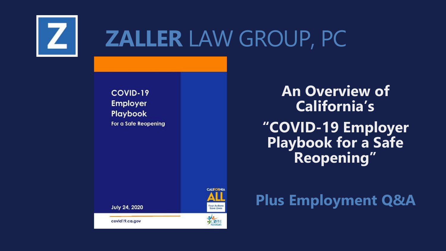

# **ZALLER** LAW GROUP, PC

**CALIFORNIA** 

**Your Actions** 

**Save Lives** 

**SOPH** 

COVID-19 **Employer Playbook** For a Safe Reopening

July 24, 2020

covid19.ca.gov

**An Overview of California's "COVID-19 Employer Playbook for a Safe Reopening"**

**Plus Employment Q&A**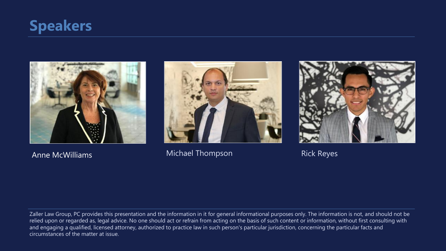### **Speakers**



#### Anne McWilliams



Michael Thompson Rick Reyes



Zaller Law Group, PC provides this presentation and the information in it for general informational purposes only. The information is not, and should not be relied upon or regarded as, legal advice. No one should act or refrain from acting on the basis of such content or information, without first consulting with and engaging a qualified, licensed attorney, authorized to practice law in such person's particular jurisdiction, concerning the particular facts and circumstances of the matter at issue.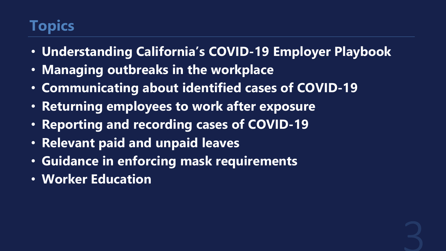### **Topics**

- **Understanding California's COVID-19 Employer Playbook**
- **Managing outbreaks in the workplace**
- **Communicating about identified cases of COVID-19**
- **Returning employees to work after exposure**
- **Reporting and recording cases of COVID-19**
- **Relevant paid and unpaid leaves**
- **Guidance in enforcing mask requirements**
- **Worker Education**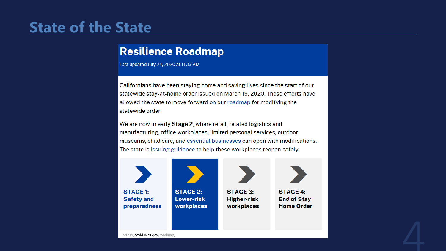### **State of the State**

#### **Resilience Roadmap**

Last updated July 24, 2020 at 11:33 AM

Californians have been staying home and saving lives since the start of our statewide stay-at-home order issued on March 19, 2020. These efforts have allowed the state to move forward on our roadmap for modifying the statewide order.

We are now in early Stage 2, where retail, related logistics and manufacturing, office workplaces, limited personal services, outdoor museums, child care, and essential businesses can open with modifications. The state is issuing guidance to help these workplaces reopen safely.





https://covid19.ca.gov/roadmap/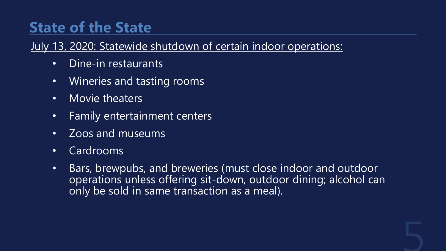### **State of the State**

### July 13, 2020: Statewide shutdown of certain indoor operations:

- Dine-in restaurants
- Wineries and tasting rooms
- Movie theaters
- Family entertainment centers
- Zoos and museums
- Cardrooms
- Bars, brewpubs, and breweries (must close indoor and outdoor operations unless offering sit-down, outdoor dining; alcohol can only be sold in same transaction as a meal).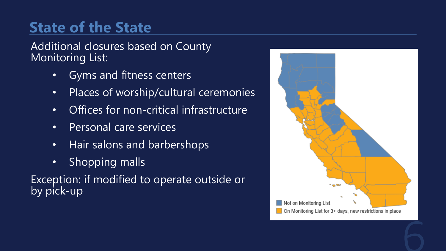## **State of the State**

Additional closures based on County Monitoring List:

- Gyms and fitness centers
- Places of worship/cultural ceremonies
- Offices for non-critical infrastructure
- Personal care services
- Hair salons and barbershops
- Shopping malls

Exception: if modified to operate outside or by pick-up

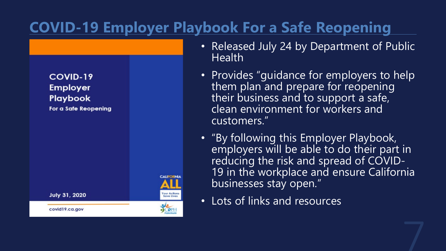### **COVID-19 Employer Playbook For a Safe Reopening**

COVID-19 **Employer Playbook** For a Safe Reopening

July 31, 2020

covid19.ca.gov



- Released July 24 by Department of Public **Health**
- Provides "guidance for employers to help them plan and prepare for reopening their business and to support a safe, clean environment for workers and customers."
- "By following this Employer Playbook, employers will be able to do their part in reducing the risk and spread of COVID-19 in the workplace and ensure California businesses stay open."
- Lots of links and resources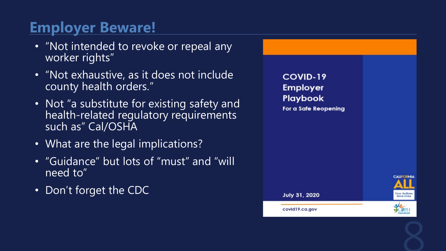### **Employer Beware!**

- "Not intended to revoke or repeal any worker rights"
- "Not exhaustive, as it does not include county health orders."
- Not "a substitute for existing safety and health-related regulatory requirements such as" Cal/OSHA
- What are the legal implications?
- "Guidance" but lots of "must" and "will need to"
- Don't forget the CDC

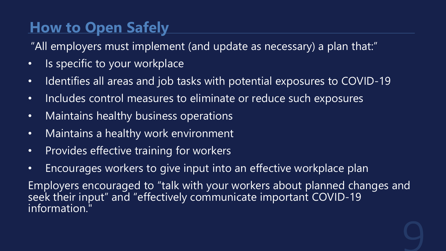### **How to Open Safely**

"All employers must implement (and update as necessary) a plan that:"

- Is specific to your workplace
- Identifies all areas and job tasks with potential exposures to COVID-19
- Includes control measures to eliminate or reduce such exposures
- Maintains healthy business operations
- Maintains a healthy work environment
- Provides effective training for workers
- Encourages workers to give input into an effective workplace plan

Employers encouraged to "talk with your workers about planned changes and seek their input" and "effectively communicate important COVID-19 information."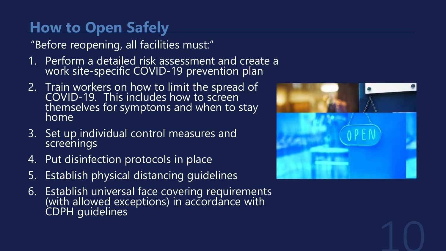## **How to Open Safely**

"Before reopening, all facilities must:"

- 1. Perform a detailed risk assessment and create a work site-specific COVID-19 prevention plan
- 2. Train workers on how to limit the spread of COVID-19. This includes how to screen themselves for symptoms and when to stay home
- 3. Set up individual control measures and screenings
- 4. Put disinfection protocols in place
- 5. Establish physical distancing guidelines
- 6. Establish universal face covering requirements (with allowed exceptions) in accordance with CDPH guidelines

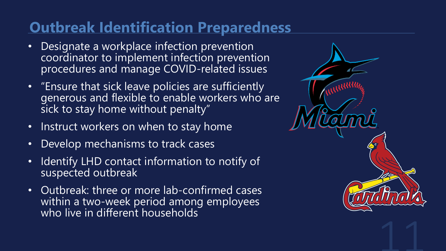### **Outbreak Identification Preparedness**

- Designate a workplace infection prevention coordinator to implement infection prevention procedures and manage COVID-related issues
- "Ensure that sick leave policies are sufficiently generous and flexible to enable workers who are sick to stay home without penalty"
- Instruct workers on when to stay home
- Develop mechanisms to track cases
- Identify LHD contact information to notify of suspected outbreak
- Outbreak: three or more lab-confirmed cases within a two-week period among employees who live in different households

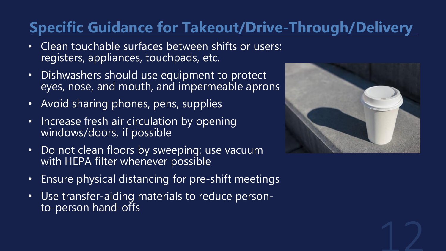## **Specific Guidance for Takeout/Drive-Through/Delivery**

- Clean touchable surfaces between shifts or users: registers, appliances, touchpads, etc.
- Dishwashers should use equipment to protect eyes, nose, and mouth, and impermeable aprons
- Avoid sharing phones, pens, supplies
- Increase fresh air circulation by opening windows/doors, if possible
- Do not clean floors by sweeping; use vacuum with HEPA filter whenever possible
- Ensure physical distancing for pre-shift meetings
- Use transfer-aiding materials to reduce personto-person hand-offs

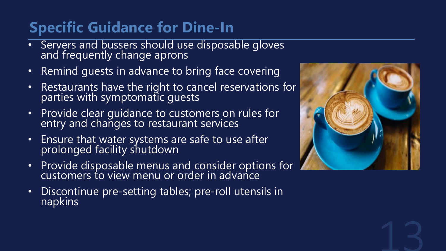### **Specific Guidance for Dine-In**

- Servers and bussers should use disposable gloves and frequently change aprons
- Remind quests in advance to bring face covering
- Restaurants have the right to cancel reservations for parties with symptomatic guests
- Provide clear guidance to customers on rules for entry and changes to restaurant services
- Ensure that water systems are safe to use after prolonged facility shutdown
- Provide disposable menus and consider options for customers to view menu or order in advance
- Discontinue pre-setting tables; pre-roll utensils in napkins

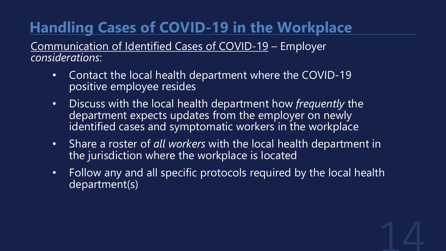Communication of Identified Cases of COVID-19 – Employer *considerations*:

- Contact the local health department where the COVID-19 positive employee resides
- Discuss with the local health department how *frequently* the department expects updates from the employer on newly identified cases and symptomatic workers in the workplace
- Share a roster of *all workers* with the local health department in the jurisdiction where the workplace is located
- Follow any and all specific protocols required by the local health department(s)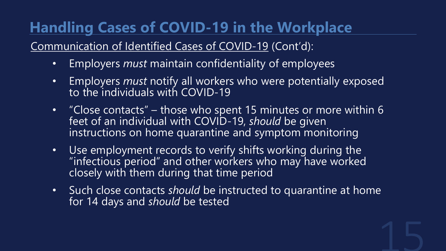Communication of Identified Cases of COVID-19 (Cont'd):

- Employers *must* maintain confidentiality of employees
- Employers *must* notify all workers who were potentially exposed to the individuals with COVID-19
- "Close contacts" those who spent 15 minutes or more within 6 feet of an individual with COVID-19, *should* be given instructions on home quarantine and symptom monitoring
- Use employment records to verify shifts working during the "infectious period" and other workers who may have worked closely with them during that time period
- Such close contacts *should* be instructed to quarantine at home for 14 days and *should* be tested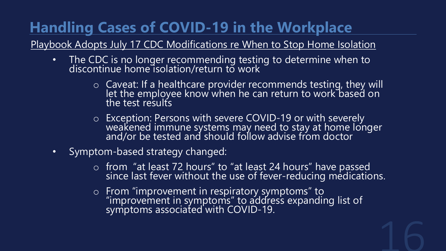#### Playbook Adopts July 17 CDC Modifications re When to Stop Home Isolation

- The CDC is no longer recommending testing to determine when to discontinue home isolation/return to work
	- o Caveat: If a healthcare provider recommends testing, they will let the employee know when he can return to work based on the test results
	- <sup>o</sup> Exception: Persons with severe COVID-19 or with severely weakened immune systems may need to stay at home longer and/or be tested and should follow advise from doctor
- Symptom-based strategy changed:
	- o from "at least 72 hours" to "at least 24 hours" have passed since last fever without the use of fever-reducing medications.
	- o From "improvement in respiratory symptoms" to "improvement in symptoms" to address expanding list of symptoms associated with COVID-19.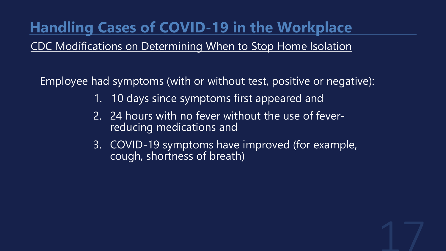CDC Modifications on Determining When to Stop Home Isolation

Employee had symptoms (with or without test, positive or negative):

- 1. 10 days since symptoms first appeared and
- 2. 24 hours with no fever without the use of feverreducing medications and
- 3. COVID-19 symptoms have improved (for example, cough, shortness of breath)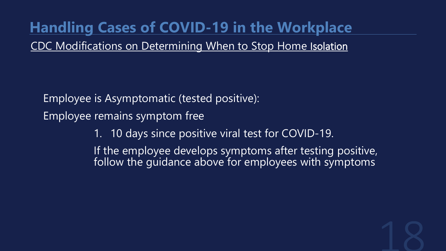CDC Modifications on Determining When to Stop Home Isolation

Employee is Asymptomatic (tested positive):

Employee remains symptom free

1. 10 days since positive viral test for COVID-19.

If the employee develops symptoms after testing positive, follow the quidance above for employees with symptoms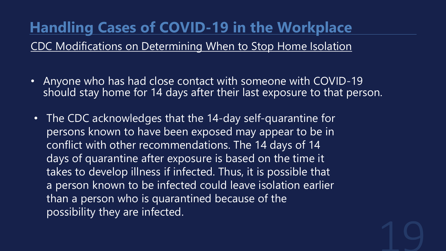CDC Modifications on Determining When to Stop Home Isolation

- Anyone who has had close contact with someone with COVID-19 should stay home for 14 days after their last exposure to that person.
- The CDC acknowledges that the 14-day self-quarantine for persons known to have been exposed may appear to be in conflict with other recommendations. The 14 days of 14 days of quarantine after exposure is based on the time it takes to develop illness if infected. Thus, it is possible that a person known to be infected could leave isolation earlier than a person who is quarantined because of the possibility they are infected.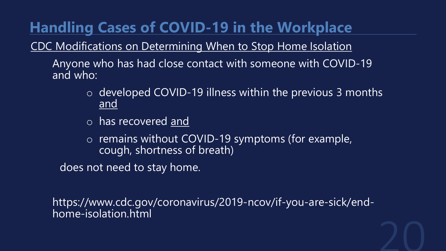CDC Modifications on Determining When to Stop Home Isolation

Anyone who has had close contact with someone with COVID-19 and who:

- o developed COVID-19 illness within the previous 3 months and
- o has recovered and
- o remains without COVID-19 symptoms (for example, cough, shortness of breath)

does not need to stay home.

https://www.cdc.gov/coronavirus/2019-ncov/if-you-are-sick/endhome-isolation.html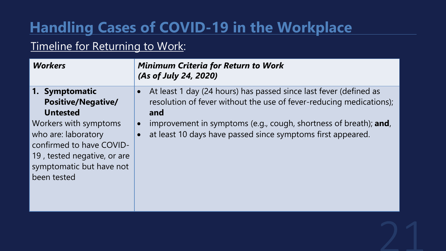### Timeline for Returning to Work:

| <b>Workers</b>                                                                                                                                                                                                       | <b>Minimum Criteria for Return to Work</b><br>(As of July 24, 2020)                                                                                                                                                                                                                             |
|----------------------------------------------------------------------------------------------------------------------------------------------------------------------------------------------------------------------|-------------------------------------------------------------------------------------------------------------------------------------------------------------------------------------------------------------------------------------------------------------------------------------------------|
| 1. Symptomatic<br><b>Positive/Negative/</b><br><b>Untested</b><br>Workers with symptoms<br>who are: laboratory<br>confirmed to have COVID-<br>19, tested negative, or are<br>symptomatic but have not<br>been tested | At least 1 day (24 hours) has passed since last fever (defined as<br>resolution of fever without the use of fever-reducing medications);<br>and<br>improvement in symptoms (e.g., cough, shortness of breath); and,<br>$\bullet$<br>at least 10 days have passed since symptoms first appeared. |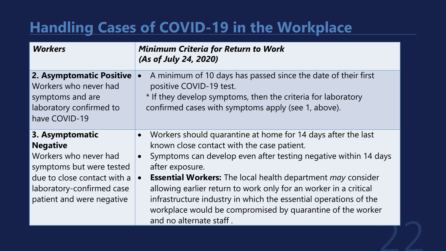| <b>Workers</b>                                                                                                                                                                   | <b>Minimum Criteria for Return to Work</b><br>(As of July 24, 2020)                                                                                                                                                                                                                                                                                                                                                                                                                                                                                   |
|----------------------------------------------------------------------------------------------------------------------------------------------------------------------------------|-------------------------------------------------------------------------------------------------------------------------------------------------------------------------------------------------------------------------------------------------------------------------------------------------------------------------------------------------------------------------------------------------------------------------------------------------------------------------------------------------------------------------------------------------------|
| 2. Asymptomatic Positive<br>Workers who never had<br>symptoms and are<br>laboratory confirmed to<br>have COVID-19                                                                | A minimum of 10 days has passed since the date of their first<br>positive COVID-19 test.<br>* If they develop symptoms, then the criteria for laboratory<br>confirmed cases with symptoms apply (see 1, above).                                                                                                                                                                                                                                                                                                                                       |
| 3. Asymptomatic<br><b>Negative</b><br>Workers who never had<br>symptoms but were tested<br>due to close contact with a<br>laboratory-confirmed case<br>patient and were negative | Workers should quarantine at home for 14 days after the last<br>$\bullet$<br>known close contact with the case patient.<br>Symptoms can develop even after testing negative within 14 days<br>$\bullet$<br>after exposure.<br><b>Essential Workers:</b> The local health department <i>may</i> consider<br>$\bullet$<br>allowing earlier return to work only for an worker in a critical<br>infrastructure industry in which the essential operations of the<br>workplace would be compromised by quarantine of the worker<br>and no alternate staff. |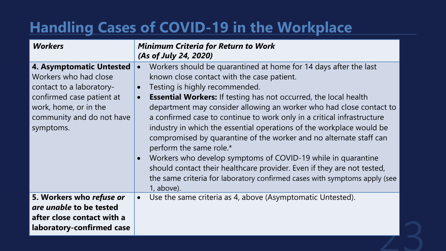| <b>Workers</b>                                                                                                                                                                | <b>Minimum Criteria for Return to Work</b><br>(As of July 24, 2020)                                                                                                                                                                                                                                                                                                                                                                                                                                                                                                                                                                                                                                                                                                                                                                            |
|-------------------------------------------------------------------------------------------------------------------------------------------------------------------------------|------------------------------------------------------------------------------------------------------------------------------------------------------------------------------------------------------------------------------------------------------------------------------------------------------------------------------------------------------------------------------------------------------------------------------------------------------------------------------------------------------------------------------------------------------------------------------------------------------------------------------------------------------------------------------------------------------------------------------------------------------------------------------------------------------------------------------------------------|
| 4. Asymptomatic Untested<br>Workers who had close<br>contact to a laboratory-<br>confirmed case patient at<br>work, home, or in the<br>community and do not have<br>symptoms. | Workers should be quarantined at home for 14 days after the last<br>$\bullet$<br>known close contact with the case patient.<br>Testing is highly recommended.<br>$\bullet$<br><b>Essential Workers:</b> If testing has not occurred, the local health<br>$\bullet$<br>department may consider allowing an worker who had close contact to<br>a confirmed case to continue to work only in a critical infrastructure<br>industry in which the essential operations of the workplace would be<br>compromised by quarantine of the worker and no alternate staff can<br>perform the same role.*<br>Workers who develop symptoms of COVID-19 while in quarantine<br>$\bullet$<br>should contact their healthcare provider. Even if they are not tested,<br>the same criteria for laboratory confirmed cases with symptoms apply (see<br>1, above). |
| 5. Workers who refuse or<br>are unable to be tested<br>after close contact with a<br>laboratory-confirmed case                                                                | Use the same criteria as 4, above (Asymptomatic Untested).<br>$\bullet$                                                                                                                                                                                                                                                                                                                                                                                                                                                                                                                                                                                                                                                                                                                                                                        |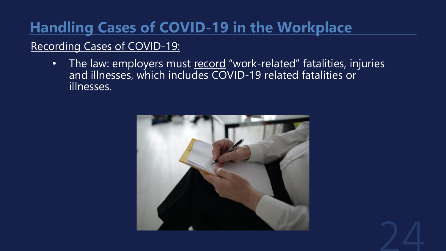### Recording Cases of COVID-19:

• The law: employers must record "work-related" fatalities, injuries and illnesses, which includes COVID-19 related fatalities or illnesses.



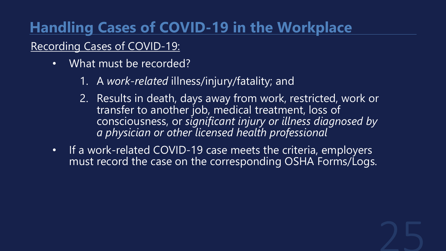### Recording Cases of COVID-19:

- What must be recorded?
	- 1. A *work-related* illness/injury/fatality; and
	- 2. Results in death, days away from work, restricted, work or transfer to another job, medical treatment, loss of consciousness, or *significant injury or illness diagnosed by a physician or other licensed health professional*
- If a work-related COVID-19 case meets the criteria, employers must record the case on the corresponding OSHA Forms/Logs.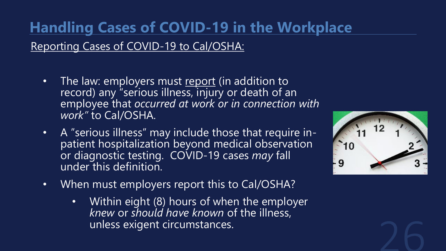- The law: employers must report (in addition to record) any "serious illness, injury or death of an employee that *occurred at work or in connection with work"* to Cal/OSHA.
- A "serious illness" may include those that require inpatient hospitalization beyond medical observation or diagnostic testing. COVID-19 cases *may* fall under this definition.



- When must employers report this to Cal/OSHA?
	- Within eight (8) hours of when the employer *knew* or *should have known* of the illness, unless exigent circumstances.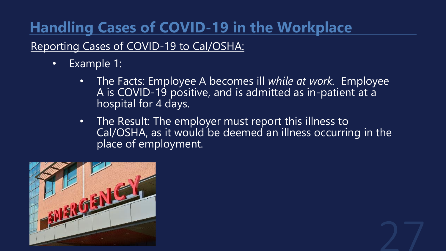- Example 1:
	- The Facts: Employee A becomes ill *while at work.* Employee A is COVID-19 positive, and is admitted as in-patient at a hospital for 4 days.
	- The Result: The employer must report this illness to Cal/OSHA, as it would be deemed an illness occurring in the place of employment.

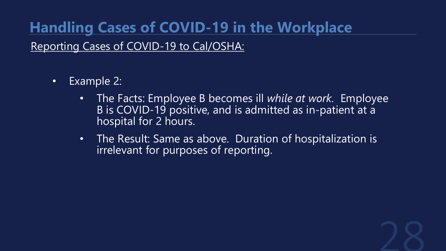- Example 2:
	- The Facts: Employee B becomes ill *while at work.* Employee B is COVID-19 positive, and is admitted as in-patient at a hospital for 2 hours.
	- The Result: Same as above. Duration of hospitalization is irrelevant for purposes of reporting.

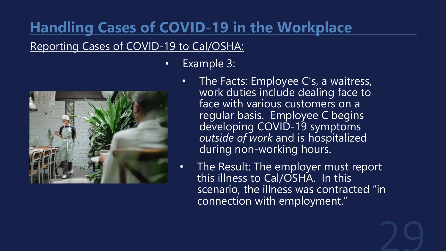

- **Example 3:** 
	- The Facts: Employee C's, a waitress, work duties include dealing face to face with various customers on a regular basis. Employee C begins developing COVID-19 symptoms *outside of work* and is hospitalized during non-working hours.
	- The Result: The employer must report this illness to Cal/OSHA. In this scenario, the illness was contracted "in connection with employment."

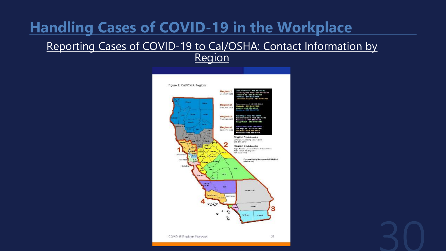#### Reporting Cases of COVID-19 to Cal/OSHA: Contact Information by **Region**

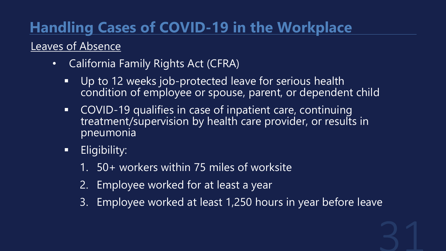### Leaves of Absence

- California Family Rights Act (CFRA)
	- Up to 12 weeks job-protected leave for serious health condition of employee or spouse, parent, or dependent child
	- COVID-19 qualifies in case of inpatient care, continuing treatment/supervision by health care provider, or results in pneumonia
	- **Eligibility:** 
		- 1. 50+ workers within 75 miles of worksite
		- 2. Employee worked for at least a year
		- 3. Employee worked at least 1,250 hours in year before leave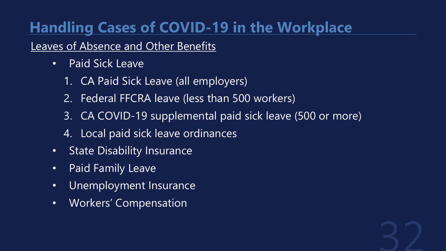### Leaves of Absence and Other Benefits

- Paid Sick Leave
	- 1. CA Paid Sick Leave (all employers)
	- 2. Federal FFCRA leave (less than 500 workers)
	- 3. CA COVID-19 supplemental paid sick leave (500 or more)
	- 4. Local paid sick leave ordinances
- State Disability Insurance
- Paid Family Leave
- Unemployment Insurance
- Workers' Compensation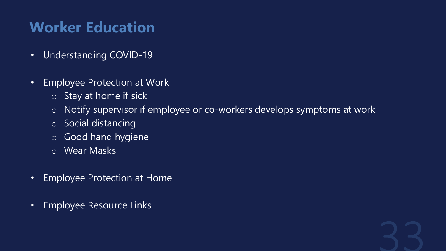### **Worker Education**

- Understanding COVID-19
- Employee Protection at Work
	- $\overline{\circ}$  Stay at home if sick
	- o Notify supervisor if employee or co-workers develops symptoms at work
	- o Social distancing
	- o Good hand hygiene
	- o Wear Masks
- Employee Protection at Home
- Employee Resource Links

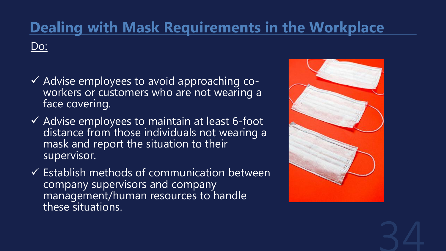### **Dealing with Mask Requirements in the Workplace** Do:

- $\checkmark$  Advise employees to avoid approaching coworkers or customers who are not wearing a face covering.
- $\checkmark$  Advise employees to maintain at least 6-foot distance from those individuals not wearing a mask and report the situation to their supervisor.
- $\checkmark$  Establish methods of communication between company supervisors and company management/human resources to handle these situations.



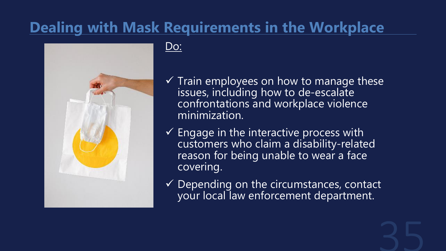## **Dealing with Mask Requirements in the Workplace**



#### <u>Do:</u>

- $\checkmark$  Train employees on how to manage these issues, including how to de-escalate confrontations and workplace violence minimization.
- Engage in the interactive process with customers who claim a disability-related reason for being unable to wear a face covering.
- Depending on the circumstances, contact your local law enforcement department.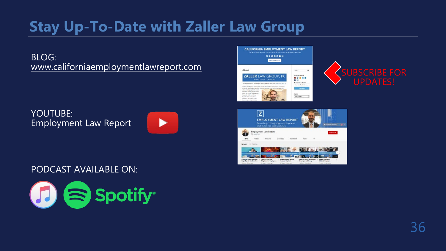### **Stay Up-To-Date with Zaller Law Group**

#### BLOG: [www.californiaemploymentlawreport.com](http://www.californiaemploymentlawreport.com/)

YOUTUBE: Employment Law Report



#### **CALIFORNIA EMPLOYMENT LAW REPORT** 8000069 **CONTINUES** About  $_{\rm max}$ **ZALLER LAW GROUP. PO BAT (10-NOTER** .... EMPLOYANCE TLAAR 百合 White discussion **Burning Smith & Contract** Flereon. incluy.





#### PODCAST AVAILABLE ON: